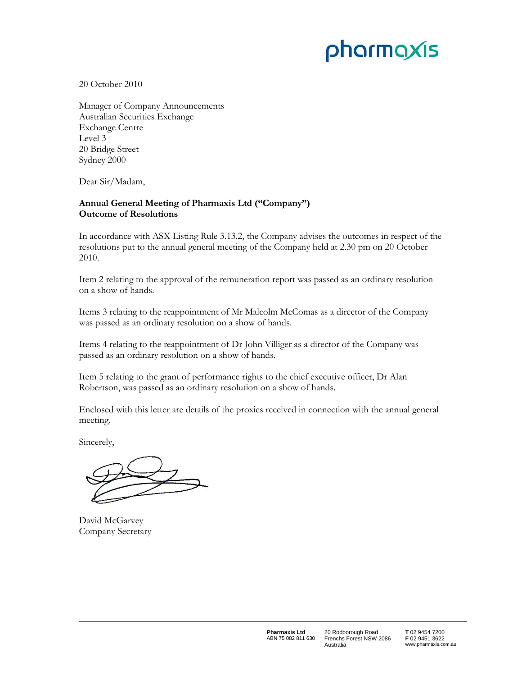# pharmaxis

20 October 2010

Manager of Company Announcements Australian Securities Exchange Exchange Centre Level 3 20 Bridge Street Sydney 2000

Dear Sir/Madam,

## **Annual General Meeting of Pharmaxis Ltd ("Company") Outcome of Resolutions**

In accordance with ASX Listing Rule 3.13.2, the Company advises the outcomes in respect of the resolutions put to the annual general meeting of the Company held at 2.30 pm on 20 October 2010.

Item 2 relating to the approval of the remuneration report was passed as an ordinary resolution on a show of hands.

Items 3 relating to the reappointment of Mr Malcolm McComas as a director of the Company was passed as an ordinary resolution on a show of hands.

Items 4 relating to the reappointment of Dr John Villiger as a director of the Company was passed as an ordinary resolution on a show of hands.

Item 5 relating to the grant of performance rights to the chief executive officer, Dr Alan Robertson, was passed as an ordinary resolution on a show of hands.

Enclosed with this letter are details of the proxies received in connection with the annual general meeting.

Sincerely,

David McGarvey Company Secretary

20 Rodborough Road Frenchs Forest NSW 2086 Australia